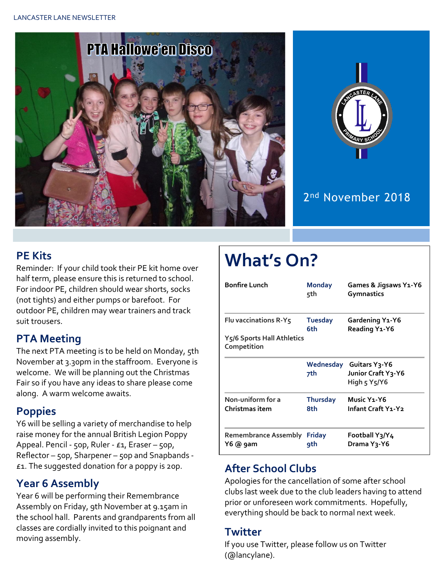



## 2<sup>nd</sup> November 2018

### **PE Kits**

Reminder: If your child took their PE kit home over half term, please ensure this is returned to school. For indoor PE, children should wear shorts, socks (not tights) and either pumps or barefoot. For outdoor PE, children may wear trainers and track suit trousers.

#### **PTA Meeting**

The next PTA meeting is to be held on Monday, 5th November at 3.30pm in the staffroom. Everyone is welcome. We will be planning out the Christmas Fair so if you have any ideas to share please come along. A warm welcome awaits.

#### **Poppies**

Y6 will be selling a variety of merchandise to help raise money for the annual British Legion Poppy Appeal. Pencil - 50p, Ruler - £1, Eraser – 50p, Reflector – 50p, Sharpener – 50p and Snapbands - £1. The suggested donation for a poppy is 20p.

#### **Year 6 Assembly**

Year 6 will be performing their Remembrance Assembly on Friday, 9th November at 9.15am in the school hall. Parents and grandparents from all classes are cordially invited to this poignant and moving assembly.

# **What's On?**

| <b>Bonfire Lunch</b>                      | <b>Monday</b><br>5th   | Games & Jigsaws Y1-Y6<br>Gymnastics                                               |  |
|-------------------------------------------|------------------------|-----------------------------------------------------------------------------------|--|
| Flu vaccinations R-Y5                     | <b>Tuesday</b><br>6th  | Gardening Y1-Y6<br>Reading Y1-Y6                                                  |  |
| Y5/6 Sports Hall Athletics<br>Competition |                        |                                                                                   |  |
|                                           | Wednesday<br>7th       | Guitars Y <sub>3</sub> -Y6<br>Junior Craft Y3-Y6<br>High $5 \text{ Y}5/\text{Y}6$ |  |
| Non-uniform for a<br>Christmas item       | <b>Thursday</b><br>8th | Music Y <sub>1</sub> -Y <sub>6</sub><br>Infant Craft Y1-Y2                        |  |
| <b>Remembrance Assembly</b><br>Y6 @ 9am   | <b>Friday</b><br>9th   | Football Y3/Y4<br>Drama Y <sub>3</sub> -Y6                                        |  |

### **After School Clubs**

Apologies for the cancellation of some after school clubs last week due to the club leaders having to attend prior or unforeseen work commitments. Hopefully, everything should be back to normal next week.

#### **Twitter**

If you use Twitter, please follow us on Twitter (@lancylane).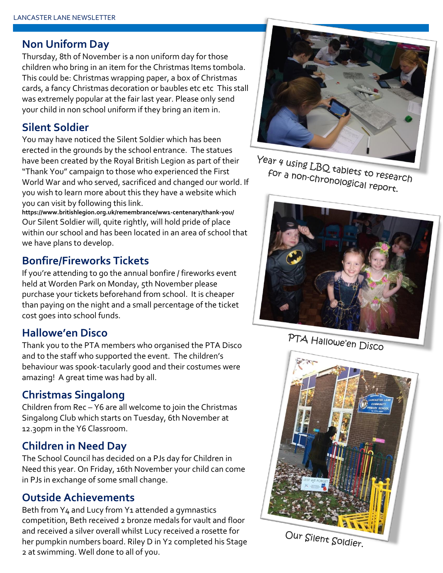#### **Non Uniform Day**

Thursday, 8th of November is a non uniform day for those children who bring in an item for the Christmas Items tombola. This could be: Christmas wrapping paper, a box of Christmas cards, a fancy Christmas decoration or baubles etc etc This stall was extremely popular at the fair last year. Please only send your child in non school uniform if they bring an item in.

#### **Silent Soldier**

You may have noticed the Silent Soldier which has been erected in the grounds by the school entrance. The statues have been created by the Royal British Legion as part of their "Thank You" campaign to those who experienced the First World War and who served, sacrificed and changed our world. If you wish to learn more about this they have a website which you can visit by following this link.

**https://www.britishlegion.org.uk/remembrance/ww1-centenary/thank-you/** Our Silent Soldier will, quite rightly, will hold pride of place within our school and has been located in an area of school that we have plans to develop.

#### **Bonfire/Fireworks Tickets**

If you're attending to go the annual bonfire / fireworks event held at Worden Park on Monday, 5th November please purchase your tickets beforehand from school. It is cheaper than paying on the night and a small percentage of the ticket cost goes into school funds.

#### **Hallowe'en Disco**

Thank you to the PTA members who organised the PTA Disco and to the staff who supported the event. The children's behaviour was spook-tacularly good and their costumes were amazing! A great time was had by all.

#### **Christmas Singalong**

Children from Rec – Y6 are all welcome to join the Christmas Singalong Club which starts on Tuesday, 6th November at 12.30pm in the Y6 Classroom.

#### **Children in Need Day**

The School Council has decided on a PJs day for Children in Need this year. On Friday, 16th November your child can come in PJs in exchange of some small change.

#### **Outside Achievements**

Beth from Y4 and Lucy from Y1 attended a gymnastics competition, Beth received 2 bronze medals for vault and floor and received a silver overall whilst Lucy received a rosette for her pumpkin numbers board. Riley D in Y2 completed his Stage 2 at swimming. Well done to all of you.



Year 4 using LBQ tablets to research For a non-chronological report.



PTA Hallowe'en Disco